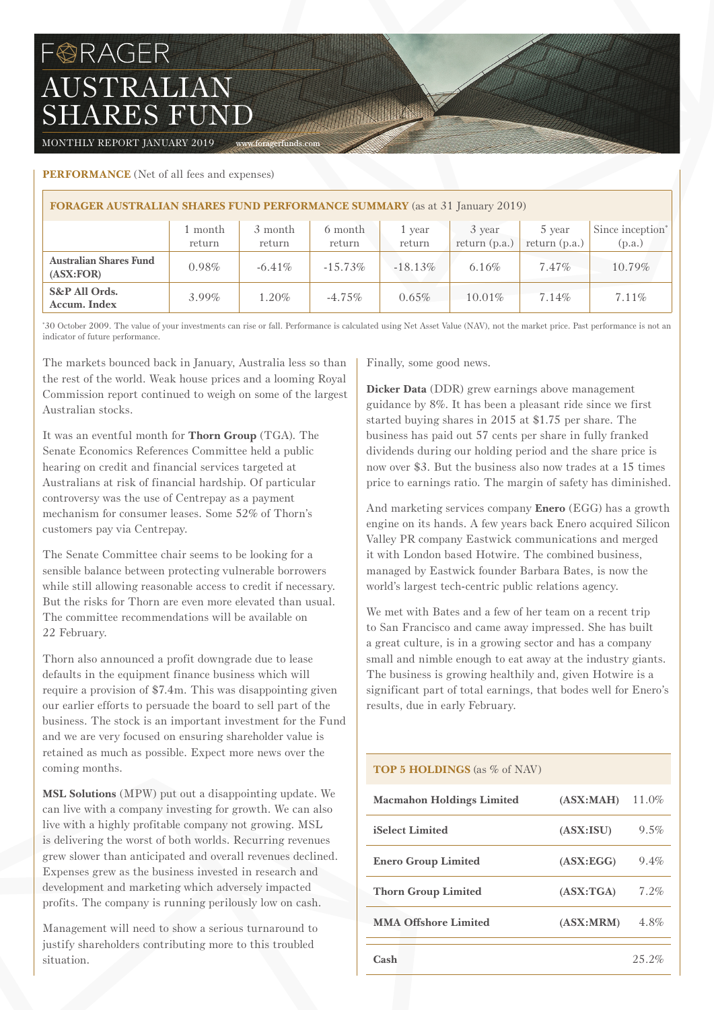# FORAGER AUSTRALIAN SHARES FUND

MONTHLY REPORT JANUARY 2019 www.foragerfunds.com

## **PERFORMANCE** (Net of all fees and expenses)

| <b>FORAGER AUSTRALIAN SHARES FUND PERFORMANCE SUMMARY</b> (as at 31 January 2019) |          |           |            |            |                 |                 |                              |  |
|-----------------------------------------------------------------------------------|----------|-----------|------------|------------|-----------------|-----------------|------------------------------|--|
|                                                                                   | 1 month  | 3 month   | 6 month    | 1 year     | 3 year          | 5 year          | Since inception <sup>*</sup> |  |
|                                                                                   | return   | return    | return     | return     | return $(p.a.)$ | return $(p.a.)$ | (p.a.)                       |  |
| <b>Australian Shares Fund</b><br>(ASK:FOR)                                        | 0.98%    | $-6.41\%$ | $-15.73\%$ | $-18.13\%$ | 6.16%           | $7.47\%$        | 10.79%                       |  |
| S&P All Ords.<br>Accum. Index                                                     | $3.99\%$ | 1.20%     | $-4.75\%$  | $0.65\%$   | $10.01\%$       | 7.14%           | $7.11\%$                     |  |

The Committee

\* 30 October 2009. The value of your investments can rise or fall. Performance is calculated using Net Asset Value (NAV), not the market price. Past performance is not an indicator of future performance.

The markets bounced back in January, Australia less so than the rest of the world. Weak house prices and a looming Royal Commission report continued to weigh on some of the largest Australian stocks.

It was an eventful month for **Thorn Group** (TGA). The Senate Economics References Committee held a public hearing on credit and financial services targeted at Australians at risk of financial hardship. Of particular controversy was the use of Centrepay as a payment mechanism for consumer leases. Some 52% of Thorn's customers pay via Centrepay.

The Senate Committee chair seems to be looking for a sensible balance between protecting vulnerable borrowers while still allowing reasonable access to credit if necessary. But the risks for Thorn are even more elevated than usual. The committee recommendations will be available on 22 February.

Thorn also announced a profit downgrade due to lease defaults in the equipment finance business which will require a provision of \$7.4m. This was disappointing given our earlier efforts to persuade the board to sell part of the business. The stock is an important investment for the Fund and we are very focused on ensuring shareholder value is retained as much as possible. Expect more news over the coming months.

**MSL Solutions** (MPW) put out a disappointing update. We can live with a company investing for growth. We can also live with a highly profitable company not growing. MSL is delivering the worst of both worlds. Recurring revenues grew slower than anticipated and overall revenues declined. Expenses grew as the business invested in research and development and marketing which adversely impacted profits. The company is running perilously low on cash.

Management will need to show a serious turnaround to justify shareholders contributing more to this troubled situation.

Finally, some good news.

**Dicker Data** (DDR) grew earnings above management guidance by 8%. It has been a pleasant ride since we first started buying shares in 2015 at \$1.75 per share. The business has paid out 57 cents per share in fully franked dividends during our holding period and the share price is now over \$3. But the business also now trades at a 15 times price to earnings ratio. The margin of safety has diminished.

And marketing services company **Enero** (EGG) has a growth engine on its hands. A few years back Enero acquired Silicon Valley PR company Eastwick communications and merged it with London based Hotwire. The combined business, managed by Eastwick founder Barbara Bates, is now the world's largest tech-centric public relations agency.

We met with Bates and a few of her team on a recent trip to San Francisco and came away impressed. She has built a great culture, is in a growing sector and has a company small and nimble enough to eat away at the industry giants. The business is growing healthily and, given Hotwire is a significant part of total earnings, that bodes well for Enero's results, due in early February.

## **TOP 5 HOLDINGS** (as % of NAV)

| <b>Macmahon Holdings Limited</b> | (ASK:MAH)  | 11.0%   |
|----------------------------------|------------|---------|
| iSelect Limited                  | (ASK:ISU)  | $9.5\%$ |
| <b>Enero Group Limited</b>       | (ASK:EGG)  | $9.4\%$ |
| <b>Thorn Group Limited</b>       | (ASK: TGA) | 7.2%    |
| <b>MMA Offshore Limited</b>      | (ASK: MRM) | 4.8%    |
| Cash                             |            | 252%    |